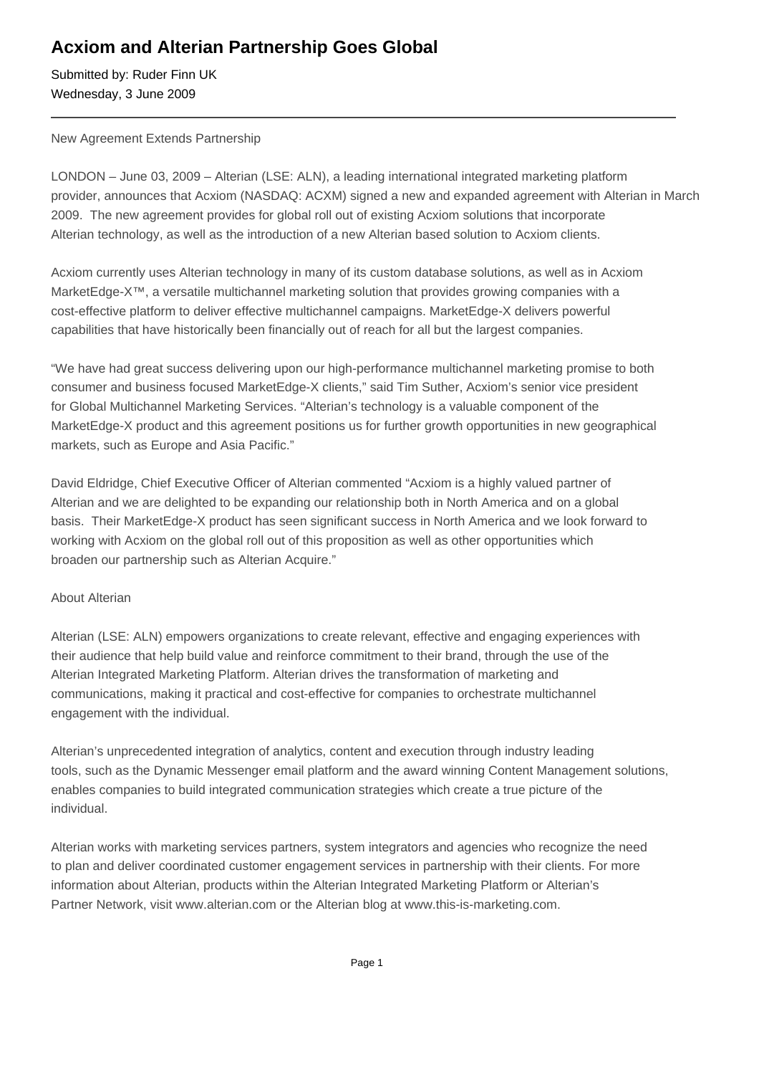## **Acxiom and Alterian Partnership Goes Global**

Submitted by: Ruder Finn UK Wednesday, 3 June 2009

#### New Agreement Extends Partnership

LONDON – June 03, 2009 – Alterian (LSE: ALN), a leading international integrated marketing platform provider, announces that Acxiom (NASDAQ: ACXM) signed a new and expanded agreement with Alterian in March 2009. The new agreement provides for global roll out of existing Acxiom solutions that incorporate Alterian technology, as well as the introduction of a new Alterian based solution to Acxiom clients.

Acxiom currently uses Alterian technology in many of its custom database solutions, as well as in Acxiom MarketEdge-X<sup>™</sup>, a versatile multichannel marketing solution that provides growing companies with a cost-effective platform to deliver effective multichannel campaigns. MarketEdge-X delivers powerful capabilities that have historically been financially out of reach for all but the largest companies.

"We have had great success delivering upon our high-performance multichannel marketing promise to both consumer and business focused MarketEdge-X clients," said Tim Suther, Acxiom's senior vice president for Global Multichannel Marketing Services. "Alterian's technology is a valuable component of the MarketEdge-X product and this agreement positions us for further growth opportunities in new geographical markets, such as Europe and Asia Pacific."

David Eldridge, Chief Executive Officer of Alterian commented "Acxiom is a highly valued partner of Alterian and we are delighted to be expanding our relationship both in North America and on a global basis. Their MarketEdge-X product has seen significant success in North America and we look forward to working with Acxiom on the global roll out of this proposition as well as other opportunities which broaden our partnership such as Alterian Acquire."

### About Alterian

Alterian (LSE: ALN) empowers organizations to create relevant, effective and engaging experiences with their audience that help build value and reinforce commitment to their brand, through the use of the Alterian Integrated Marketing Platform. Alterian drives the transformation of marketing and communications, making it practical and cost-effective for companies to orchestrate multichannel engagement with the individual.

Alterian's unprecedented integration of analytics, content and execution through industry leading tools, such as the Dynamic Messenger email platform and the award winning Content Management solutions, enables companies to build integrated communication strategies which create a true picture of the individual.

Alterian works with marketing services partners, system integrators and agencies who recognize the need to plan and deliver coordinated customer engagement services in partnership with their clients. For more information about Alterian, products within the Alterian Integrated Marketing Platform or Alterian's Partner Network, visit www.alterian.com or the Alterian blog at www.this-is-marketing.com.